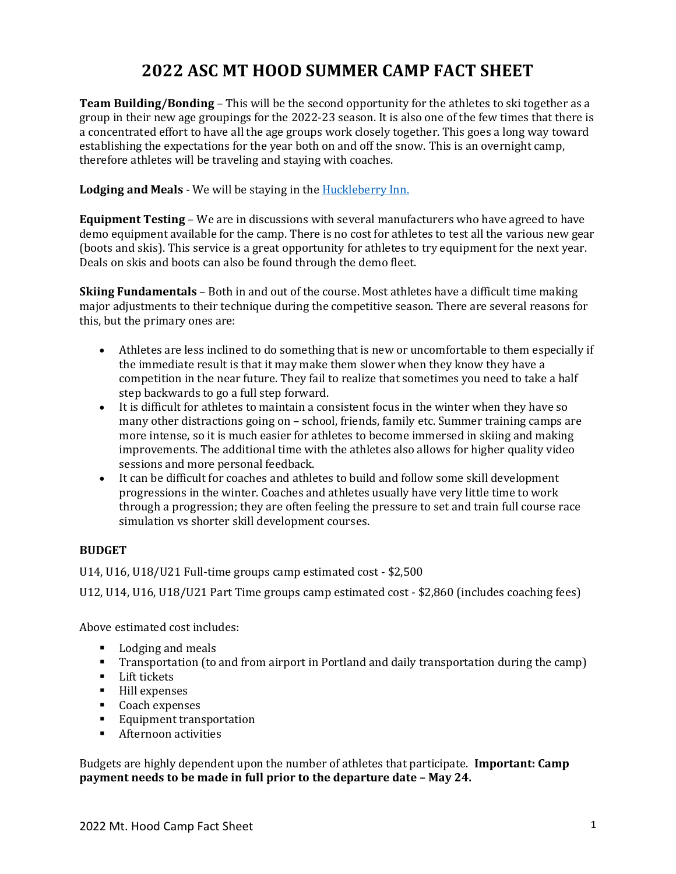# **2022 ASC MT HOOD SUMMER CAMP FACT SHEET**

**Team Building/Bonding** – This will be the second opportunity for the athletes to ski together as a group in their new age groupings for the 2022-23 season. It is also one of the few times that there is a concentrated effort to have all the age groups work closely together. This goes a long way toward establishing the expectations for the year both on and off the snow. This is an overnight camp, therefore athletes will be traveling and staying with coaches.

# **Lodging and Meals** - We will be staying in the [Huckleberry Inn.](https://huckleberry-inn.com/)

**Equipment Testing** – We are in discussions with several manufacturers who have agreed to have demo equipment available for the camp. There is no cost for athletes to test all the various new gear (boots and skis). This service is a great opportunity for athletes to try equipment for the next year. Deals on skis and boots can also be found through the demo fleet.

**Skiing Fundamentals** – Both in and out of the course. Most athletes have a difficult time making major adjustments to their technique during the competitive season. There are several reasons for this, but the primary ones are:

- Athletes are less inclined to do something that is new or uncomfortable to them especially if the immediate result is that it may make them slower when they know they have a competition in the near future. They fail to realize that sometimes you need to take a half step backwards to go a full step forward.
- It is difficult for athletes to maintain a consistent focus in the winter when they have so many other distractions going on – school, friends, family etc. Summer training camps are more intense, so it is much easier for athletes to become immersed in skiing and making improvements. The additional time with the athletes also allows for higher quality video sessions and more personal feedback.
- It can be difficult for coaches and athletes to build and follow some skill development progressions in the winter. Coaches and athletes usually have very little time to work through a progression; they are often feeling the pressure to set and train full course race simulation vs shorter skill development courses.

# **BUDGET**

U14, U16, U18/U21 Full-time groups camp estimated cost - \$2,500

U12, U14, U16, U18/U21 Part Time groups camp estimated cost - \$2,860 (includes coaching fees)

Above estimated cost includes:

- Lodging and meals
- Transportation (to and from airport in Portland and daily transportation during the camp)
- Lift tickets
- Hill expenses
- Coach expenses
- Equipment transportation
- Afternoon activities

Budgets are highly dependent upon the number of athletes that participate. **Important: Camp payment needs to be made in full prior to the departure date – May 24.**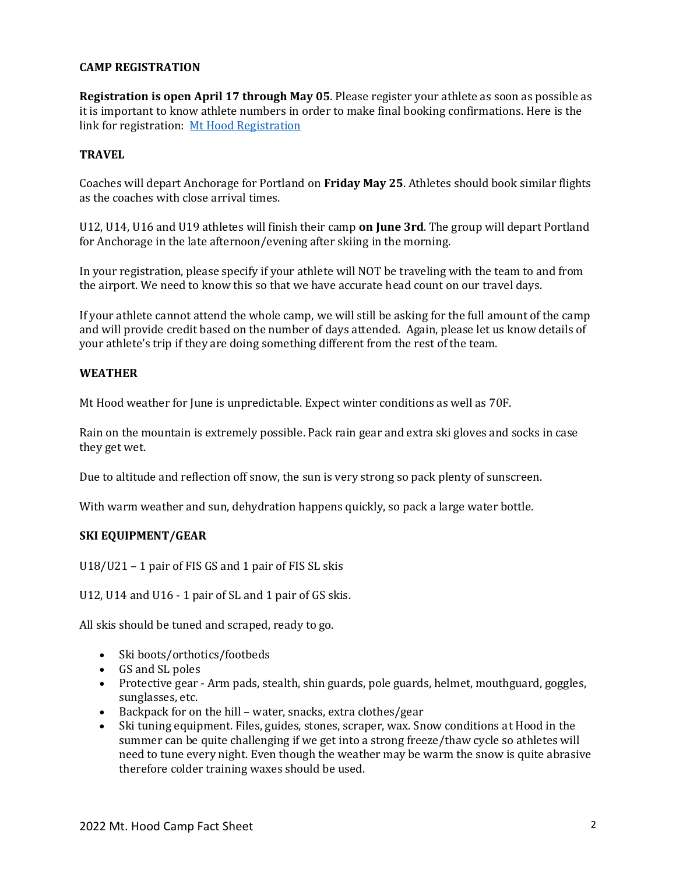# **CAMP REGISTRATION**

**Registration is open April 17 through May 05**. Please register your athlete as soon as possible as it is important to know athlete numbers in order to make final booking confirmations. Here is the link for registration: [Mt Hood Registration](https://go.teamsnap.com/forms/313307)

# **TRAVEL**

Coaches will depart Anchorage for Portland on **Friday May 25**. Athletes should book similar flights as the coaches with close arrival times.

U12, U14, U16 and U19 athletes will finish their camp **on June 3rd**. The group will depart Portland for Anchorage in the late afternoon/evening after skiing in the morning.

In your registration, please specify if your athlete will NOT be traveling with the team to and from the airport. We need to know this so that we have accurate head count on our travel days.

If your athlete cannot attend the whole camp, we will still be asking for the full amount of the camp and will provide credit based on the number of days attended. Again, please let us know details of your athlete's trip if they are doing something different from the rest of the team.

#### **WEATHER**

Mt Hood weather for June is unpredictable. Expect winter conditions as well as 70F.

Rain on the mountain is extremely possible. Pack rain gear and extra ski gloves and socks in case they get wet.

Due to altitude and reflection off snow, the sun is very strong so pack plenty of sunscreen.

With warm weather and sun, dehydration happens quickly, so pack a large water bottle.

#### **SKI EQUIPMENT/GEAR**

U18/U21 – 1 pair of FIS GS and 1 pair of FIS SL skis

U12, U14 and U16 - 1 pair of SL and 1 pair of GS skis.

All skis should be tuned and scraped, ready to go.

- Ski boots/orthotics/footbeds
- GS and SL poles
- Protective gear Arm pads, stealth, shin guards, pole guards, helmet, mouthguard, goggles, sunglasses, etc.
- Backpack for on the hill water, snacks, extra clothes/gear
- Ski tuning equipment. Files, guides, stones, scraper, wax. Snow conditions at Hood in the summer can be quite challenging if we get into a strong freeze/thaw cycle so athletes will need to tune every night. Even though the weather may be warm the snow is quite abrasive therefore colder training waxes should be used.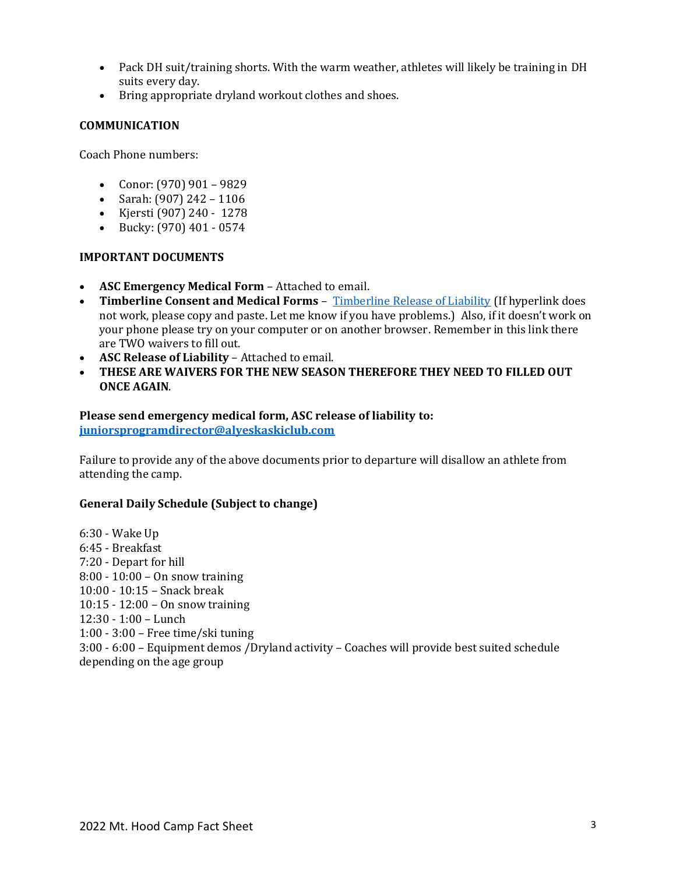- Pack DH suit/training shorts. With the warm weather, athletes will likely be training in DH suits every day.
- Bring appropriate dryland workout clothes and shoes.

# **COMMUNICATION**

Coach Phone numbers:

- Conor:  $(970)$  901 9829
- Sarah:  $(907)$  242 1106
- Kjersti (907) 240 1278
- Bucky: (970) 401 0574

#### **IMPORTANT DOCUMENTS**

- **ASC Emergency Medical Form** Attached to email.
- **Timberline Consent and Medical Forms** [Timberline Release of Liability](https://bit.ly/3GMNOev) (If hyperlink does not work, please copy and paste. Let me know if you have problems.) Also, if it doesn't work on your phone please try on your computer or on another browser. Remember in this link there are TWO waivers to fill out.
- **ASC Release of Liability** Attached to email.
- **THESE ARE WAIVERS FOR THE NEW SEASON THEREFORE THEY NEED TO FILLED OUT ONCE AGAIN**.

# **Please send emergency medical form, ASC release of liability to: [juniorsprogramdirector@alyeskaskiclub.com](mailto:juniorsprogramdirector@alyeskaskiclub.com)**

Failure to provide any of the above documents prior to departure will disallow an athlete from attending the camp.

# **General Daily Schedule (Subject to change)**

6:30 - Wake Up 6:45 - Breakfast 7:20 - Depart for hill 8:00 - 10:00 – On snow training 10:00 - 10:15 – Snack break 10:15 - 12:00 – On snow training 12:30 - 1:00 – Lunch 1:00 - 3:00 – Free time/ski tuning 3:00 - 6:00 – Equipment demos /Dryland activity – Coaches will provide best suited schedule depending on the age group